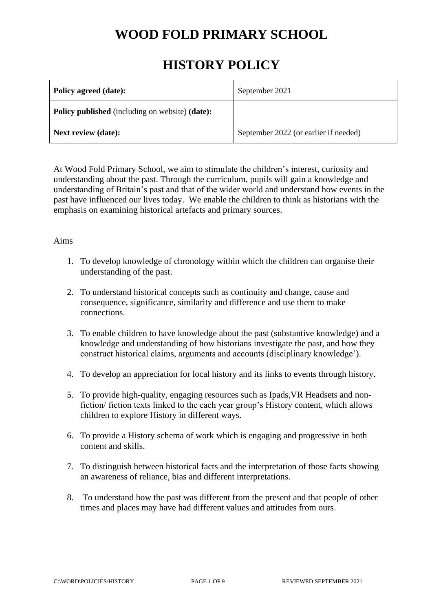# **WOOD FOLD PRIMARY SCHOOL**

## **HISTORY POLICY**

| Policy agreed (date):                                  | September 2021                        |
|--------------------------------------------------------|---------------------------------------|
| <b>Policy published</b> (including on website) (date): |                                       |
| <b>Next review (date):</b>                             | September 2022 (or earlier if needed) |

At Wood Fold Primary School, we aim to stimulate the children's interest, curiosity and understanding about the past. Through the curriculum, pupils will gain a knowledge and understanding of Britain's past and that of the wider world and understand how events in the past have influenced our lives today. We enable the children to think as historians with the emphasis on examining historical artefacts and primary sources.

#### Aims

- 1. To develop knowledge of chronology within which the children can organise their understanding of the past.
- 2. To understand historical concepts such as continuity and change, cause and consequence, significance, similarity and difference and use them to make connections.
- 3. To enable children to have knowledge about the past (substantive knowledge) and a knowledge and understanding of how historians investigate the past, and how they construct historical claims, arguments and accounts (disciplinary knowledge').
- 4. To develop an appreciation for local history and its links to events through history.
- 5. To provide high-quality, engaging resources such as Ipads,VR Headsets and nonfiction/ fiction texts linked to the each year group's History content, which allows children to explore History in different ways.
- 6. To provide a History schema of work which is engaging and progressive in both content and skills.
- 7. To distinguish between historical facts and the interpretation of those facts showing an awareness of reliance, bias and different interpretations.
- 8. To understand how the past was different from the present and that people of other times and places may have had different values and attitudes from ours.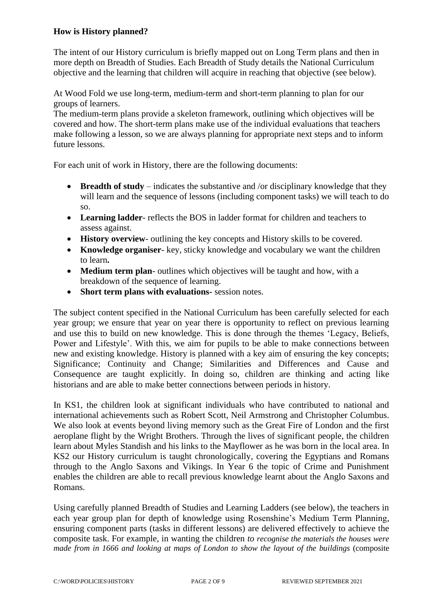#### **How is History planned?**

The intent of our History curriculum is briefly mapped out on Long Term plans and then in more depth on Breadth of Studies. Each Breadth of Study details the National Curriculum objective and the learning that children will acquire in reaching that objective (see below).

At Wood Fold we use long-term, medium-term and short-term planning to plan for our groups of learners.

The medium-term plans provide a skeleton framework, outlining which objectives will be covered and how. The short-term plans make use of the individual evaluations that teachers make following a lesson, so we are always planning for appropriate next steps and to inform future lessons.

For each unit of work in History, there are the following documents:

- **Breadth of study** indicates the substantive and /or disciplinary knowledge that they will learn and the sequence of lessons (including component tasks) we will teach to do so.
- **Learning ladder** reflects the BOS in ladder format for children and teachers to assess against.
- **History overview** outlining the key concepts and History skills to be covered.
- **Knowledge organiser** key, sticky knowledge and vocabulary we want the children to learn**.**
- **Medium term plan** outlines which objectives will be taught and how, with a breakdown of the sequence of learning.
- **Short term plans with evaluations-** session notes.

The subject content specified in the National Curriculum has been carefully selected for each year group; we ensure that year on year there is opportunity to reflect on previous learning and use this to build on new knowledge. This is done through the themes 'Legacy, Beliefs, Power and Lifestyle'. With this, we aim for pupils to be able to make connections between new and existing knowledge. History is planned with a key aim of ensuring the key concepts; Significance; Continuity and Change; Similarities and Differences and Cause and Consequence are taught explicitly. In doing so, children are thinking and acting like historians and are able to make better connections between periods in history.

In KS1, the children look at significant individuals who have contributed to national and international achievements such as Robert Scott, Neil Armstrong and Christopher Columbus. We also look at events beyond living memory such as the Great Fire of London and the first aeroplane flight by the Wright Brothers. Through the lives of significant people, the children learn about Myles Standish and his links to the Mayflower as he was born in the local area. In KS2 our History curriculum is taught chronologically, covering the Egyptians and Romans through to the Anglo Saxons and Vikings. In Year 6 the topic of Crime and Punishment enables the children are able to recall previous knowledge learnt about the Anglo Saxons and Romans.

Using carefully planned Breadth of Studies and Learning Ladders (see below), the teachers in each year group plan for depth of knowledge using Rosenshine's Medium Term Planning, ensuring component parts (tasks in different lessons) are delivered effectively to achieve the composite task. For example, in wanting the children *to recognise the materials the houses were made from in 1666 and looking at maps of London to show the layout of the buildings* (composite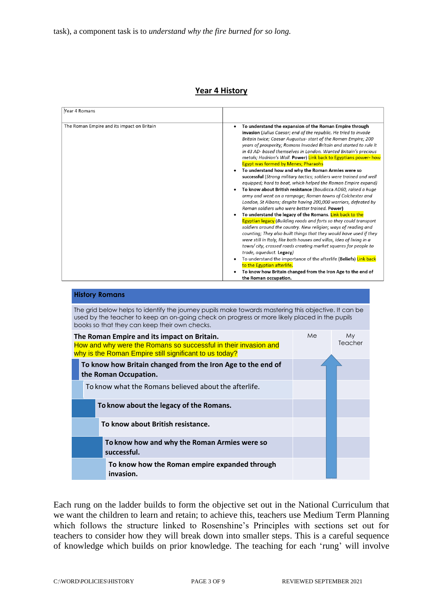#### **Year 4 History**

| Year 4 Romans                                                                                                                                                               |                                                                                                                                                                                                                                                                                                                                                                                                                                                                                                                                                                                                                                                                                                                                                                                                                                                                                                                                                                                                                                                                                                                                                                                                                                                                                                                                                                                                                                                                                                                                                                           |    |               |
|-----------------------------------------------------------------------------------------------------------------------------------------------------------------------------|---------------------------------------------------------------------------------------------------------------------------------------------------------------------------------------------------------------------------------------------------------------------------------------------------------------------------------------------------------------------------------------------------------------------------------------------------------------------------------------------------------------------------------------------------------------------------------------------------------------------------------------------------------------------------------------------------------------------------------------------------------------------------------------------------------------------------------------------------------------------------------------------------------------------------------------------------------------------------------------------------------------------------------------------------------------------------------------------------------------------------------------------------------------------------------------------------------------------------------------------------------------------------------------------------------------------------------------------------------------------------------------------------------------------------------------------------------------------------------------------------------------------------------------------------------------------------|----|---------------|
| The Roman Empire and its impact on Britain<br><b>History Romans</b><br>The grid below helps to identify the journey pupils make towards mastering this objective. It can be | To understand the expansion of the Roman Empire through<br>$\bullet$<br>invasion (Julius Caesar; end of the republic. He tried to invade<br>Britain twice; Caesar Augustus- start of the Roman Empire; 200<br>years of prosperity; Romans invaded Britain and started to rule it<br>in 43 AD- based themselves in London. Wanted Britain's precious<br>metals; Hadrian's Wall. Power) Link back to Egyptians power- how<br><b>Egypt was formed by Menes; Pharaohs</b><br>To understand how and why the Roman Armies were so<br>successful (Strong military tactics; soldiers were trained and well<br>equipped; hard to beat, which helped the Roman Empire expand)<br>To know about British resistance (Boudicca AD60, raised a huge<br>army and went on a rampage; Roman towns of Colchester and<br>London, St Albans; despite having 200,000 warriors, defeated by<br>Roman soldiers who were better trained. Power)<br>To understand the legacy of the Romans. Link back to the<br><b>Egyptian legacy (Building roads and forts so they could transport</b><br>soldiers around the country. New religion; ways of reading and<br>counting; They also built things that they would have used if they<br>were still in Italy, like bath houses and villas, idea of living in a<br>town/city, crossed roads creating market squares for people to<br>trade, aqueduct. Legacy)<br>To understand the importance of the afterlife (Beliefs) Link back<br>to the Egyptian afterlife.<br>To know how Britain changed from the Iron Age to the end of<br>the Roman occupation. |    |               |
| used by the teacher to keep an on-going check on progress or more likely placed in the pupils<br>books so that they can keep their own checks.                              |                                                                                                                                                                                                                                                                                                                                                                                                                                                                                                                                                                                                                                                                                                                                                                                                                                                                                                                                                                                                                                                                                                                                                                                                                                                                                                                                                                                                                                                                                                                                                                           |    |               |
| The Roman Empire and its impact on Britain.<br>How and why were the Romans so successful in their invasion and<br>why is the Roman Empire still significant to us today?    |                                                                                                                                                                                                                                                                                                                                                                                                                                                                                                                                                                                                                                                                                                                                                                                                                                                                                                                                                                                                                                                                                                                                                                                                                                                                                                                                                                                                                                                                                                                                                                           | Me | My<br>Teacher |
| To know how Britain changed from the Iron Age to the end of<br>the Roman Occupation.                                                                                        |                                                                                                                                                                                                                                                                                                                                                                                                                                                                                                                                                                                                                                                                                                                                                                                                                                                                                                                                                                                                                                                                                                                                                                                                                                                                                                                                                                                                                                                                                                                                                                           |    |               |
| To know what the Romans believed about the afterlife.                                                                                                                       |                                                                                                                                                                                                                                                                                                                                                                                                                                                                                                                                                                                                                                                                                                                                                                                                                                                                                                                                                                                                                                                                                                                                                                                                                                                                                                                                                                                                                                                                                                                                                                           |    |               |
| To know about the legacy of the Romans.                                                                                                                                     |                                                                                                                                                                                                                                                                                                                                                                                                                                                                                                                                                                                                                                                                                                                                                                                                                                                                                                                                                                                                                                                                                                                                                                                                                                                                                                                                                                                                                                                                                                                                                                           |    |               |
| To know about British resistance.                                                                                                                                           |                                                                                                                                                                                                                                                                                                                                                                                                                                                                                                                                                                                                                                                                                                                                                                                                                                                                                                                                                                                                                                                                                                                                                                                                                                                                                                                                                                                                                                                                                                                                                                           |    |               |
| To know how and why the Roman Armies were so<br>successful.                                                                                                                 |                                                                                                                                                                                                                                                                                                                                                                                                                                                                                                                                                                                                                                                                                                                                                                                                                                                                                                                                                                                                                                                                                                                                                                                                                                                                                                                                                                                                                                                                                                                                                                           |    |               |
| To know how the Roman empire expanded through<br>invasion.                                                                                                                  |                                                                                                                                                                                                                                                                                                                                                                                                                                                                                                                                                                                                                                                                                                                                                                                                                                                                                                                                                                                                                                                                                                                                                                                                                                                                                                                                                                                                                                                                                                                                                                           |    |               |

Each rung on the ladder builds to form the objective set out in the National Curriculum that we want the children to learn and retain; to achieve this, teachers use Medium Term Planning which follows the structure linked to Rosenshine's Principles with sections set out for teachers to consider how they will break down into smaller steps. This is a careful sequence of knowledge which builds on prior knowledge. The teaching for each 'rung' will involve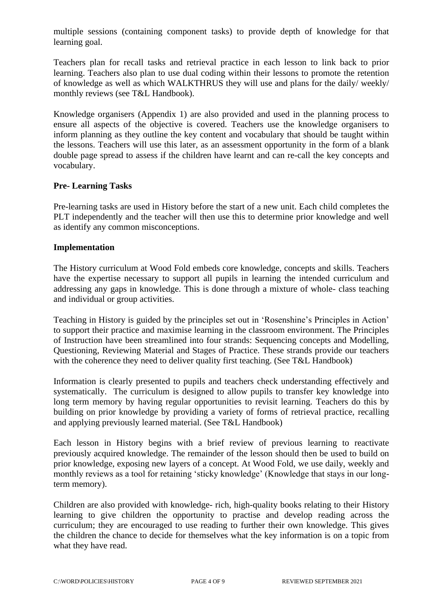multiple sessions (containing component tasks) to provide depth of knowledge for that learning goal.

Teachers plan for recall tasks and retrieval practice in each lesson to link back to prior learning. Teachers also plan to use dual coding within their lessons to promote the retention of knowledge as well as which WALKTHRUS they will use and plans for the daily/ weekly/ monthly reviews (see T&L Handbook).

Knowledge organisers (Appendix 1) are also provided and used in the planning process to ensure all aspects of the objective is covered. Teachers use the knowledge organisers to inform planning as they outline the key content and vocabulary that should be taught within the lessons. Teachers will use this later, as an assessment opportunity in the form of a blank double page spread to assess if the children have learnt and can re-call the key concepts and vocabulary.

#### **Pre- Learning Tasks**

Pre-learning tasks are used in History before the start of a new unit. Each child completes the PLT independently and the teacher will then use this to determine prior knowledge and well as identify any common misconceptions.

#### **Implementation**

The History curriculum at Wood Fold embeds core knowledge, concepts and skills. Teachers have the expertise necessary to support all pupils in learning the intended curriculum and addressing any gaps in knowledge. This is done through a mixture of whole- class teaching and individual or group activities.

Teaching in History is guided by the principles set out in 'Rosenshine's Principles in Action' to support their practice and maximise learning in the classroom environment. The Principles of Instruction have been streamlined into four strands: Sequencing concepts and Modelling, Questioning, Reviewing Material and Stages of Practice. These strands provide our teachers with the coherence they need to deliver quality first teaching. (See T&L Handbook)

Information is clearly presented to pupils and teachers check understanding effectively and systematically. The curriculum is designed to allow pupils to transfer key knowledge into long term memory by having regular opportunities to revisit learning. Teachers do this by building on prior knowledge by providing a variety of forms of retrieval practice, recalling and applying previously learned material. (See T&L Handbook)

Each lesson in History begins with a brief review of previous learning to reactivate previously acquired knowledge. The remainder of the lesson should then be used to build on prior knowledge, exposing new layers of a concept. At Wood Fold, we use daily, weekly and monthly reviews as a tool for retaining 'sticky knowledge' (Knowledge that stays in our longterm memory).

Children are also provided with knowledge- rich, high-quality books relating to their History learning to give children the opportunity to practise and develop reading across the curriculum; they are encouraged to use reading to further their own knowledge. This gives the children the chance to decide for themselves what the key information is on a topic from what they have read.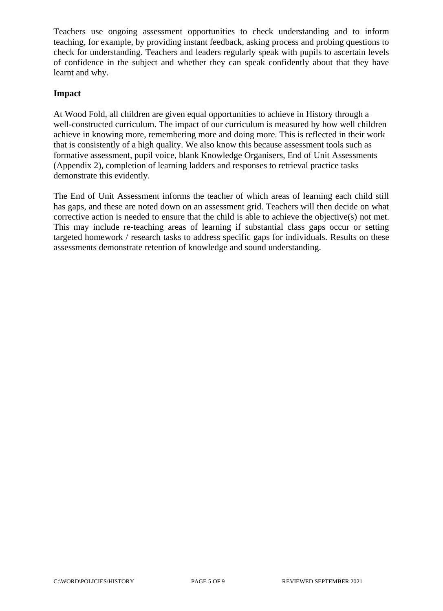Teachers use ongoing assessment opportunities to check understanding and to inform teaching, for example, by providing instant feedback, asking process and probing questions to check for understanding. Teachers and leaders regularly speak with pupils to ascertain levels of confidence in the subject and whether they can speak confidently about that they have learnt and why.

#### **Impact**

At Wood Fold, all children are given equal opportunities to achieve in History through a well-constructed curriculum. The impact of our curriculum is measured by how well children achieve in knowing more, remembering more and doing more. This is reflected in their work that is consistently of a high quality. We also know this because assessment tools such as formative assessment, pupil voice, blank Knowledge Organisers, End of Unit Assessments (Appendix 2), completion of learning ladders and responses to retrieval practice tasks demonstrate this evidently.

The End of Unit Assessment informs the teacher of which areas of learning each child still has gaps, and these are noted down on an assessment grid. Teachers will then decide on what corrective action is needed to ensure that the child is able to achieve the objective(s) not met. This may include re-teaching areas of learning if substantial class gaps occur or setting targeted homework / research tasks to address specific gaps for individuals. Results on these assessments demonstrate retention of knowledge and sound understanding.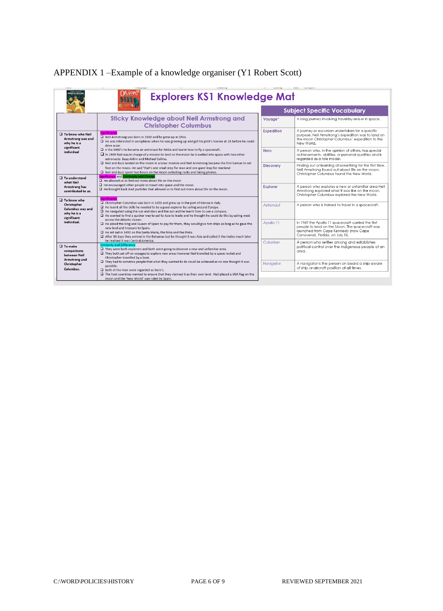### APPENDIX 1 –Example of a knowledge organiser (Y1 Robert Scott)

|                                                                                                                                    | <b>MIMMERIN</b><br><b>ORion</b> ,<br><b>Explorers KS1 Knowledge Mat</b>                                                                                                                                                                                                                                                                                                                                         |                   | <b>WARNER</b><br><b>MARINER</b>                                                                                                                                                  |
|------------------------------------------------------------------------------------------------------------------------------------|-----------------------------------------------------------------------------------------------------------------------------------------------------------------------------------------------------------------------------------------------------------------------------------------------------------------------------------------------------------------------------------------------------------------|-------------------|----------------------------------------------------------------------------------------------------------------------------------------------------------------------------------|
|                                                                                                                                    |                                                                                                                                                                                                                                                                                                                                                                                                                 |                   | <b>Subject Specific Vocabulary</b>                                                                                                                                               |
|                                                                                                                                    | <b>Sticky Knowledge about Neil Armstrong and</b><br><b>Christopher Columbus</b>                                                                                                                                                                                                                                                                                                                                 | Voyage*           | A long journey involving travel by sea or in space.                                                                                                                              |
| <b>Significance</b><br>$\square$ To know who Neil<br>Armstrong was and<br>why he is a<br>drive a car.<br>significant<br>individual | □ Neil Armstrong was born in 1930 and he grew up in Ohio.<br>He was interested in aeroplanes when he was growing up and got his pilot's licence at 16 before he could                                                                                                                                                                                                                                           | <b>Expedition</b> | A journey or excursion undertaken for a specific<br>purpose. Neil Armstrong's expedition was to land on<br>the moon Christopher Columbus' expedition to the<br>New World.        |
|                                                                                                                                    | n the 1960's he became an astronaut for NASA and learnt how to fly a spacecraft.<br>In 1969 Neil was in charge of a mission to land on the moon he travelled into space with two other<br>astronauts- Buzz Aldrin and Michael Collins.                                                                                                                                                                          | Hero              | A person who, in the opinion of others, has special<br>achievements, abilities, or personal aualities and is<br>regarded as a role model.                                        |
|                                                                                                                                    | Neil and Buzz landed on the moon in a lunar module and Neil Armstrong became the first human to set<br>foot on the moon. He said 'that's one small step for man and one giant leap for mankind<br>$\Box$ Neil and Buzz spent two hours on the moon collecting rocks and taking photos.<br><b>Significance</b> and Continuity and Chang                                                                          | <b>Discovery</b>  | Finding out or learning of something for the first time.<br>Neil Armstrong found out about life on the moon.<br>Christopher Columbus found the New World.                        |
| $\Box$ To understand<br>what Neil<br>Armstrong has<br>contributed to us.                                                           | $\Box$ He allowed us to find out more about life on the moon<br>$\Box$ He encouraged other people to travel into space and the moon.<br>□ He brought back dust particles that allowed us to find out more about life on the moon.                                                                                                                                                                               | <b>Explorer</b>   | A person who explores a new or unfamiliar area-Neil<br>Armstrona explored what it was like on the moon.<br>Christopher Columbus explored the New World.                          |
| $\Box$ To know who<br>Christopher<br>Columbus was and<br>why he is a<br>significant                                                | <b>Significance</b><br>Christopher Columbus was born in 1450 and grew up in the port of Genoa in Italy.<br>$\Box$ He learnt all the skills he needed to be a good explorer by sailing around Europe.<br>$\Box$ He navigated using the sun and stars and the sun and he learnt how to use a compass.<br>He wanted to find a quicker way to sail to Asia to trade and he thought he could do this by sailing west | Astronaut         | A person who is trained to travel in a spacecraft.                                                                                                                               |
| individual.                                                                                                                        | across the Atlantic Ocean.<br>$\Box$ He asked the King and Queen of Spain to pay for them, they would give him ships as long as he gave the<br>new land and treasure to Spain.<br>He set sail in 1492 on the Santa Maria, the Nina and the Pinta.<br>After 36 days they arrived in the Bahamas but he thought it was Asia and called it the Indies much later                                                   | Apollo 11         | In 1969 the Apollo 11 spacecraft carried the first<br>people to land on the Moon. The spacecraft was<br>launched from Cape Kennedy (now Cape<br>Canaveral), Florida, on July 16. |
| $\square$ To make<br>comparisons<br>between Neil<br>Armstrong and                                                                  | he realised it was Central America.<br><b>Similarity and Difference</b><br>$\Box$ They were both explorers and both were going to discover a new and unfamiliar area.<br>They both set off on voyages to explore new areas however Neil travelled by a space rocket and<br>Christopher travelled by a boat.                                                                                                     | Colonizer         | A person who settles among and establishes<br>political control over the indigenous people of an<br>area.                                                                        |
| Christopher<br>possible.<br>Columbus.<br>$\Box$ Both of the men were regarded as hero's.                                           | $\Box$ They had to convince people that what they wanted to do could be achieved as no one thought it was<br>The host countries wanted to ensure that they claimed it as their own land . Neil placed a USA flag on the<br>moon and the 'New World' was ruled by Spain.                                                                                                                                         | Navigator         | A navigator is the person on board a ship aware<br>of ship or aircraft position at all times.                                                                                    |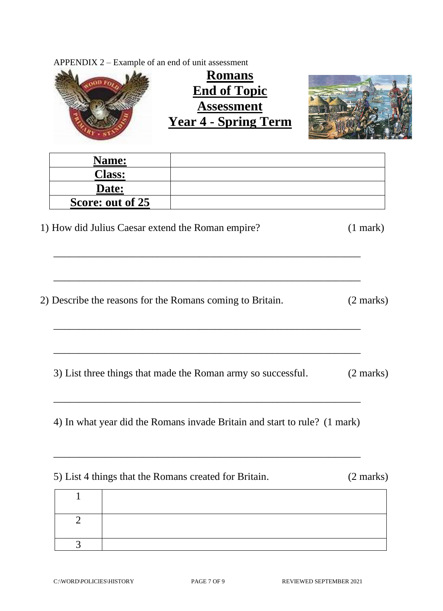|                                                   | <b>Romans</b><br><b>End of Topic</b><br><b>Assessment</b><br><b>Year 4 - Spring Term</b> |                     |
|---------------------------------------------------|------------------------------------------------------------------------------------------|---------------------|
| <u>Name:</u>                                      |                                                                                          |                     |
| <b>Class:</b>                                     |                                                                                          |                     |
| Date:<br><b>Score: out of 25</b>                  |                                                                                          |                     |
| 1) How did Julius Caesar extend the Roman empire? |                                                                                          | $(1$ mark $)$       |
|                                                   | 2) Describe the reasons for the Romans coming to Britain.                                | $(2 \text{ marks})$ |
|                                                   | 3) List three things that made the Roman army so successful.                             | $(2 \text{ marks})$ |
|                                                   | 4) In what year did the Romans invade Britain and start to rule? (1 mark)                |                     |
|                                                   | 5) List 4 things that the Romans created for Britain.                                    | $(2 \text{ marks})$ |
| 1                                                 |                                                                                          |                     |
| $\overline{2}$                                    |                                                                                          |                     |
|                                                   |                                                                                          |                     |
| 3                                                 |                                                                                          |                     |

APPENDIX 2 – Example of an end of unit assessment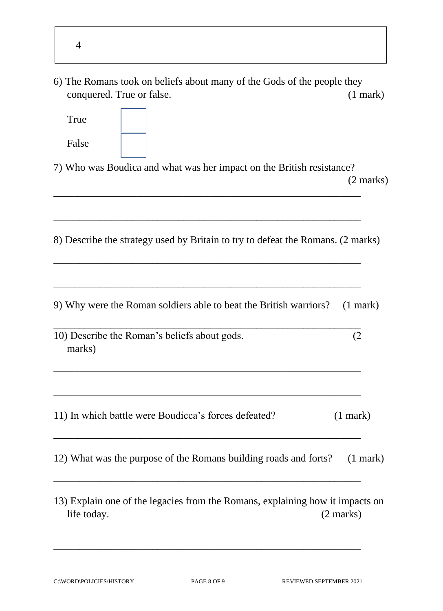6) The Romans took on beliefs about many of the Gods of the people they conquered. True or false.

| True                                                                                                                |                     |
|---------------------------------------------------------------------------------------------------------------------|---------------------|
| False                                                                                                               |                     |
| 7) Who was Boudica and what was her impact on the British resistance?                                               | $(2 \text{ marks})$ |
| 8) Describe the strategy used by Britain to try to defeat the Romans. (2 marks)                                     |                     |
| 9) Why were the Roman soldiers able to beat the British warriors?                                                   | $(1$ mark)          |
| (2)<br>10) Describe the Roman's beliefs about gods.<br>marks)                                                       |                     |
| 11) In which battle were Boudicca's forces defeated?<br>$(1$ mark)                                                  |                     |
| 12) What was the purpose of the Romans building roads and forts?                                                    | $(1$ mark)          |
| 13) Explain one of the legacies from the Romans, explaining how it impacts on<br>life today.<br>$(2 \text{ marks})$ |                     |

\_\_\_\_\_\_\_\_\_\_\_\_\_\_\_\_\_\_\_\_\_\_\_\_\_\_\_\_\_\_\_\_\_\_\_\_\_\_\_\_\_\_\_\_\_\_\_\_\_\_\_\_\_\_\_\_\_\_\_